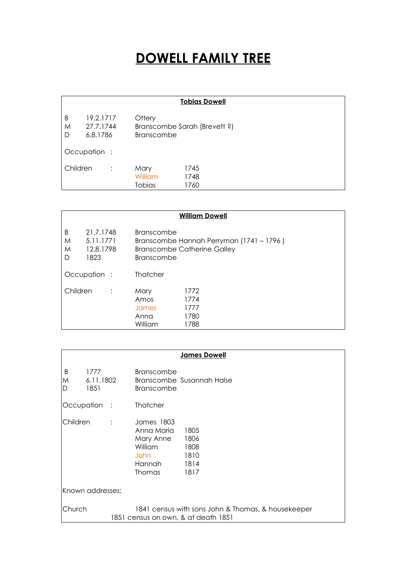## **DOWELL FAMILY TREE**

| <b>Tobias Dowell</b>                                                                                     |              |                           |                      |  |  |
|----------------------------------------------------------------------------------------------------------|--------------|---------------------------|----------------------|--|--|
| 19.2.1717<br>B<br>Ottery<br>27.7.1744<br>Branscombe Sarah (Brevett?)<br>M<br>6.8.1786<br>Branscombe<br>D |              |                           |                      |  |  |
|                                                                                                          | Occupation : |                           |                      |  |  |
| Children                                                                                                 |              | Mary<br>William<br>Tobias | 1745<br>1748<br>1760 |  |  |

| <b>William Dowell</b>            |                                             |                                                                                                            |                                      |  |
|----------------------------------|---------------------------------------------|------------------------------------------------------------------------------------------------------------|--------------------------------------|--|
| B<br>M<br>M<br>D                 | 21.7.1748<br>5.11.1771<br>12.8.1798<br>1823 | Branscombe<br>Branscombe Hannah Perryman (1741 – 1796)<br><b>Branscombe Catherine Galley</b><br>Branscombe |                                      |  |
| Occupation :                     |                                             | <b>Thatcher</b>                                                                                            |                                      |  |
| Children<br>$\ddot{\phantom{0}}$ |                                             | Mary<br>Amos<br>James<br>Anna<br>William                                                                   | 1772<br>1774<br>1777<br>1780<br>1788 |  |

|              | <b>James Dowell</b>                                                                                 |                                                                                             |                                              |  |  |
|--------------|-----------------------------------------------------------------------------------------------------|---------------------------------------------------------------------------------------------|----------------------------------------------|--|--|
| B<br>M<br>D  | 1777<br>6.11.1802<br>1851                                                                           | <b>Branscombe</b><br><b>Branscombe</b>                                                      | Branscombe Susannah Halse                    |  |  |
| Occupation : |                                                                                                     | Thatcher                                                                                    |                                              |  |  |
| Children     | $\ddot{\cdot}$                                                                                      | James 1803<br>Anna Maria<br>Mary Anne<br><b>William</b><br>John.<br>Hannah<br><b>Thomas</b> | 1805<br>1806<br>1808<br>1810<br>1814<br>1817 |  |  |
|              | Known addresses:                                                                                    |                                                                                             |                                              |  |  |
|              | 1841 census with sons John & Thomas, & housekeeper<br>Church<br>1851 census on own, & at death 1851 |                                                                                             |                                              |  |  |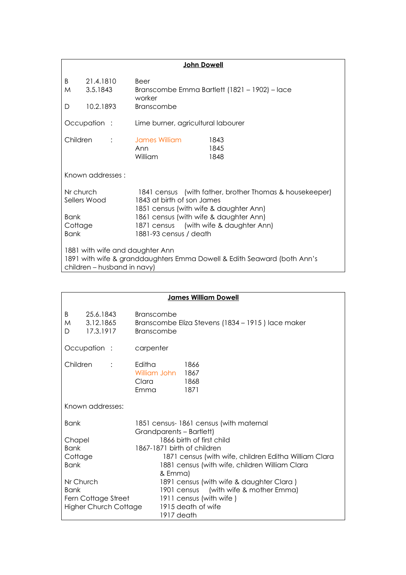| <b>John Dowell</b>                                                                                                                                                                                                                                                                                           |                                    |                                                                                      |                      |  |
|--------------------------------------------------------------------------------------------------------------------------------------------------------------------------------------------------------------------------------------------------------------------------------------------------------------|------------------------------------|--------------------------------------------------------------------------------------|----------------------|--|
| B<br>M<br>D                                                                                                                                                                                                                                                                                                  | 21.4.1810<br>3.5.1843<br>10.2.1893 | <b>Beer</b><br>Branscombe Emma Bartlett (1821 – 1902) – lace<br>worker<br>Branscombe |                      |  |
| Occupation :<br>Lime burner, agricultural labourer                                                                                                                                                                                                                                                           |                                    |                                                                                      |                      |  |
| Children<br>$\sim$ 100 $\pm$                                                                                                                                                                                                                                                                                 |                                    | James William<br>Ann<br>William                                                      | 1843<br>1845<br>1848 |  |
|                                                                                                                                                                                                                                                                                                              | Known addresses:                   |                                                                                      |                      |  |
| Nr church<br>1841 census (with father, brother Thomas & housekeeper)<br>Sellers Wood<br>1843 at birth of son James<br>1851 census (with wife & daughter Ann)<br>1861 census (with wife & daughter Ann)<br>Bank<br>1871 census (with wife & daughter Ann)<br>Cottage<br><b>Bank</b><br>1881-93 census / death |                                    |                                                                                      |                      |  |
| 1881 with wife and daughter Ann<br>1891 with wife & granddaughters Emma Dowell & Edith Seaward (both Ann's<br>children - husband in navy)                                                                                                                                                                    |                                    |                                                                                      |                      |  |

| <b>James William Dowell</b>                                                     |                                     |                                                                                                                                                             |  |  |
|---------------------------------------------------------------------------------|-------------------------------------|-------------------------------------------------------------------------------------------------------------------------------------------------------------|--|--|
| B<br>M<br>D                                                                     | 25.6.1843<br>3.12.1865<br>17.3.1917 | Branscombe<br>Branscombe Eliza Stevens (1834 – 1915) lace maker<br>Branscombe                                                                               |  |  |
|                                                                                 | Occupation :                        | carpenter                                                                                                                                                   |  |  |
| Children<br>$\ddot{\phantom{a}}$                                                |                                     | 1866<br>Editha<br>William John 1867<br>Clara<br>Emma<br>1871                                                                                                |  |  |
|                                                                                 | Known addresses:                    |                                                                                                                                                             |  |  |
| Bank                                                                            |                                     | 1851 census-1861 census (with maternal<br>Grandparents - Bartlett)                                                                                          |  |  |
| Chapel                                                                          |                                     | 1866 birth of first child                                                                                                                                   |  |  |
| <b>Bank</b>                                                                     |                                     | 1867-1871 birth of children                                                                                                                                 |  |  |
| Cottage                                                                         |                                     | 1871 census (with wife, children Editha William Clara                                                                                                       |  |  |
| <b>Bank</b>                                                                     |                                     | 1881 census (with wife, children William Clara                                                                                                              |  |  |
| Nr Church<br><b>Bank</b><br>Fern Cottage Street<br><b>Higher Church Cottage</b> |                                     | & Emma)<br>1891 census (with wife & daughter Clara)<br>1901 census (with wife & mother Emma)<br>1911 census (with wife)<br>1915 death of wife<br>1917 death |  |  |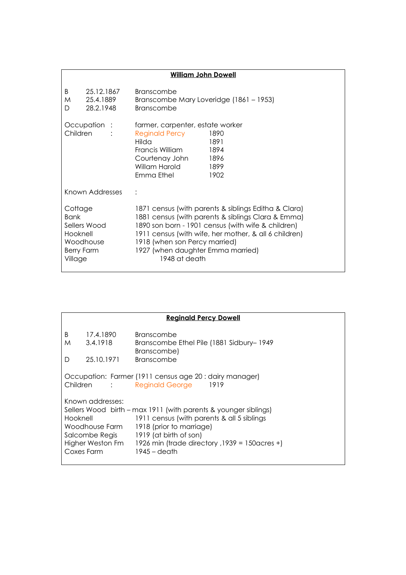## **William John Dowell**

| 25.12.1867<br>B<br>25.4.1889<br>M<br>28.2.1948<br>D                                             | Branscombe<br>Branscombe Mary Loveridge (1861 – 1953)<br>Branscombe                                                                                                                                                                                                                                              |  |  |  |
|-------------------------------------------------------------------------------------------------|------------------------------------------------------------------------------------------------------------------------------------------------------------------------------------------------------------------------------------------------------------------------------------------------------------------|--|--|--|
| Occupation :<br>Children<br>$\sim$ 100 $\pm$                                                    | farmer, carpenter, estate worker<br><b>Reginald Percy</b><br>1890<br>1891<br>Hilda<br>Francis William<br>1894<br>Courtenay John<br>1896<br>Willam Harold<br>1899<br>Emma Ethel<br>1902                                                                                                                           |  |  |  |
| Known Addresses                                                                                 |                                                                                                                                                                                                                                                                                                                  |  |  |  |
| Cottage<br><b>Bank</b><br>Sellers Wood<br>Hooknell<br>Woodhouse<br><b>Berry Farm</b><br>Village | 1871 census (with parents & siblings Editha & Clara)<br>1881 census (with parents & siblings Clara & Emma)<br>1890 son born - 1901 census (with wife & children)<br>1911 census (with wife, her mother, & all 6 children)<br>1918 (when son Percy married)<br>1927 (when daughter Emma married)<br>1948 at death |  |  |  |

| <b>Reginald Percy Dowell</b>                                                     |                                                                                                                           |                                                         |  |  |  |  |
|----------------------------------------------------------------------------------|---------------------------------------------------------------------------------------------------------------------------|---------------------------------------------------------|--|--|--|--|
|                                                                                  |                                                                                                                           |                                                         |  |  |  |  |
| B                                                                                | 17.4.1890                                                                                                                 | <b>Branscombe</b>                                       |  |  |  |  |
| M                                                                                | 3.4.1918                                                                                                                  | Branscombe Ethel Pile (1881 Sidbury-1949                |  |  |  |  |
|                                                                                  |                                                                                                                           | Branscombe)                                             |  |  |  |  |
| D                                                                                | 25.10.1971                                                                                                                | <b>Branscombe</b>                                       |  |  |  |  |
|                                                                                  |                                                                                                                           |                                                         |  |  |  |  |
|                                                                                  |                                                                                                                           | Occupation: Farmer (1911 census age 20 : dairy manager) |  |  |  |  |
|                                                                                  |                                                                                                                           | Children : Reginald George 1919                         |  |  |  |  |
|                                                                                  | Known addresses:                                                                                                          |                                                         |  |  |  |  |
|                                                                                  |                                                                                                                           |                                                         |  |  |  |  |
|                                                                                  | Sellers Wood birth - max 1911 (with parents & younger siblings)<br>Hooknell<br>1911 census (with parents & all 5 siblings |                                                         |  |  |  |  |
|                                                                                  |                                                                                                                           |                                                         |  |  |  |  |
| Woodhouse Farm 1918 (prior to marriage)<br>Salcombe Regis 1919 (at birth of son) |                                                                                                                           |                                                         |  |  |  |  |
|                                                                                  |                                                                                                                           | 1926 min (trade directory , 1939 = 150 acres +)         |  |  |  |  |
|                                                                                  | Higher Weston Fm<br>Coxes Farm<br>1945 – death                                                                            |                                                         |  |  |  |  |
|                                                                                  |                                                                                                                           |                                                         |  |  |  |  |